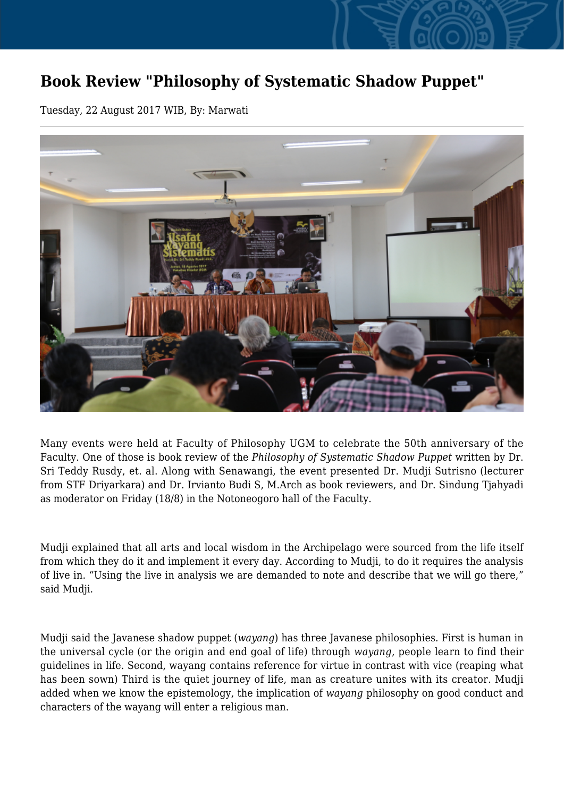## **Book Review "Philosophy of Systematic Shadow Puppet"**

Tuesday, 22 August 2017 WIB, By: Marwati



Many events were held at Faculty of Philosophy UGM to celebrate the 50th anniversary of the Faculty. One of those is book review of the *Philosophy of Systematic Shadow Puppet* written by Dr. Sri Teddy Rusdy, et. al. Along with Senawangi, the event presented Dr. Mudji Sutrisno (lecturer from STF Driyarkara) and Dr. Irvianto Budi S, M.Arch as book reviewers, and Dr. Sindung Tjahyadi as moderator on Friday (18/8) in the Notoneogoro hall of the Faculty.

Mudji explained that all arts and local wisdom in the Archipelago were sourced from the life itself from which they do it and implement it every day. According to Mudji, to do it requires the analysis of live in. "Using the live in analysis we are demanded to note and describe that we will go there," said Mudji.

Mudji said the Javanese shadow puppet (*wayang*) has three Javanese philosophies. First is human in the universal cycle (or the origin and end goal of life) through *wayang*, people learn to find their guidelines in life. Second, wayang contains reference for virtue in contrast with vice (reaping what has been sown) Third is the quiet journey of life, man as creature unites with its creator. Mudji added when we know the epistemology, the implication of *wayang* philosophy on good conduct and characters of the wayang will enter a religious man.